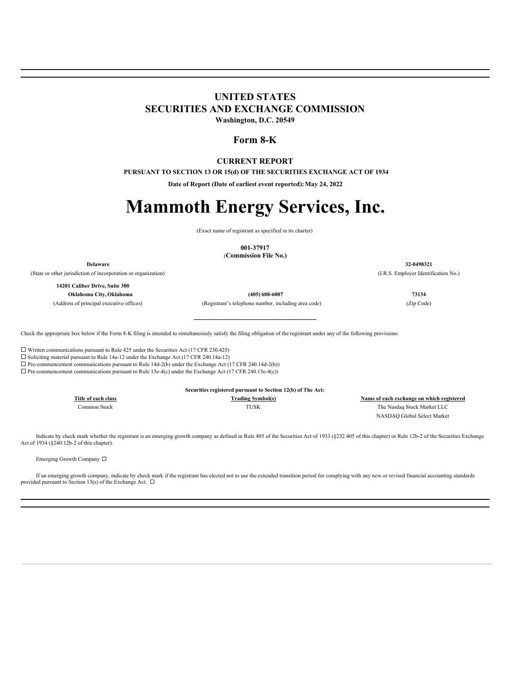## **UNITED STATES SECURITIES AND EXCHANGE COMMISSION**

**Washington, D.C. 20549**

### **Form 8-K**

### **CURRENT REPORT**

**PURSUANT TO SECTION 13 OR 15(d) OF THE SECURITIES EXCHANGE ACT OF 1934**

**Date of Report (Date of earliest event reported):May 24, 2022**

# **Mammoth Energy Services, Inc.**

(Exact name of registrant as specified in its charter)

**001-37917**

(**Commission File No.)**

**Delaware 32-0498321**

(State or other jurisdiction of incorporation or organization) (I.R.S. Employer Identification No.)

**14201 Caliber Drive, Suite 300 Oklahoma City, Oklahoma (405) 608-6007 73134**

(Address of principal executive offices) (Registrant's telephone number, including area code) (Zip Code)

Check the appropriate box below if the Form 8-K filing is intended to simultaneously satisfy the filing obligation of the registrant under any of the following provisions:

 $\square$  Written communications pursuant to Rule 425 under the Securities Act (17 CFR 230.425)

 $\square$  Soliciting material pursuant to Rule 14a-12 under the Exchange Act (17 CFR 240.14a-12)

 $\Box$  Pre-commencement communications pursuant to Rule 14d-2(b) under the Exchange Act (17 CFR 240.14d-2(b))

 $\Box$  Pre-commencement communications pursuant to Rule 13e-4(c) under the Exchange Act (17 CFR 240.13e-4(c))

**Title of each class Trading Symbol(s) Name of each exchange on which registered** Common Stock TUSK The Nasdaq Stock Market LLC NASDAQ Global Select Market

Indicate by check mark whether the registrant is an emerging growth company as defined in Rule 405 of the Securities Act of 1933 (§232.405 of this chapter) or Rule 12b-2 of the Securities Exchange Act of 1934 (§240.12b-2 of this chapter).

Emerging Growth Company  $\Box$ 

If an emerging growth company, indicate by check mark if the registrant has elected not to use the extended transition period for complying with any new or revised financial accounting standards provided pursuant to Section 13(s) of the Exchange Act.  $\Box$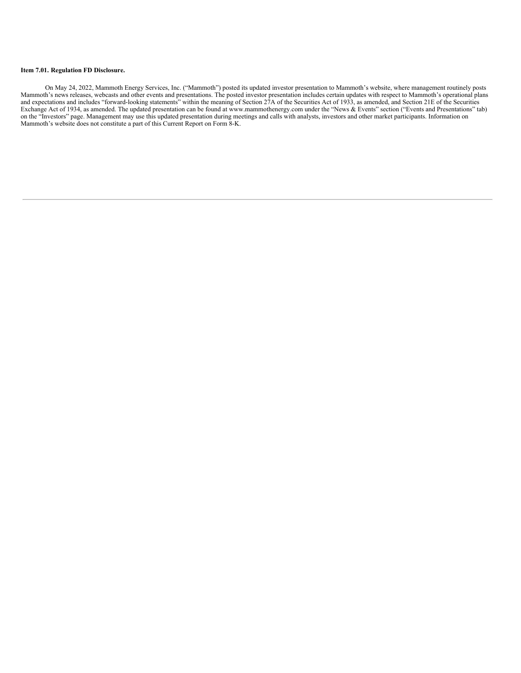### **Item 7.01. Regulation FD Disclosure.**

On May 24, 2022, Mammoth Energy Services, Inc. ("Mammoth") posted its updated investor presentation to Mammoth's website, where management routinely posts Mammoth's news releases, webcasts and other events and presentations. The posted investor presentation includes certain updates with respect to Mammoth's operational plans and expectations and includes "forward-looking statements" within the meaning of Section 27A of the Securities Act of 1933, as amended, and Section 21E of the Securities Exchange Act of 1934, as amended. The updated presentation can be found at www.mammothenergy.com under the "News & Events" section ("Events and Presentations" tab) on the "Investors" page. Management may use this updated presentation during meetings and calls with analysts, investors and other market participants. Information on Mammoth's website does not constitute a part of this Current Report on Form 8-K.